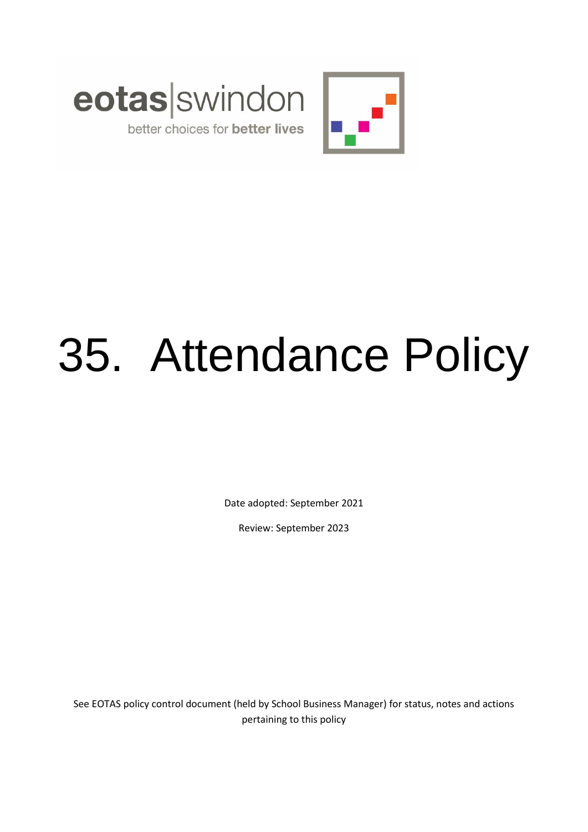



# better choices for better lives

# 35. Attendance Policy

Date adopted: September 2021

Review: September 2023

See EOTAS policy control document (held by School Business Manager) for status, notes and actions pertaining to this policy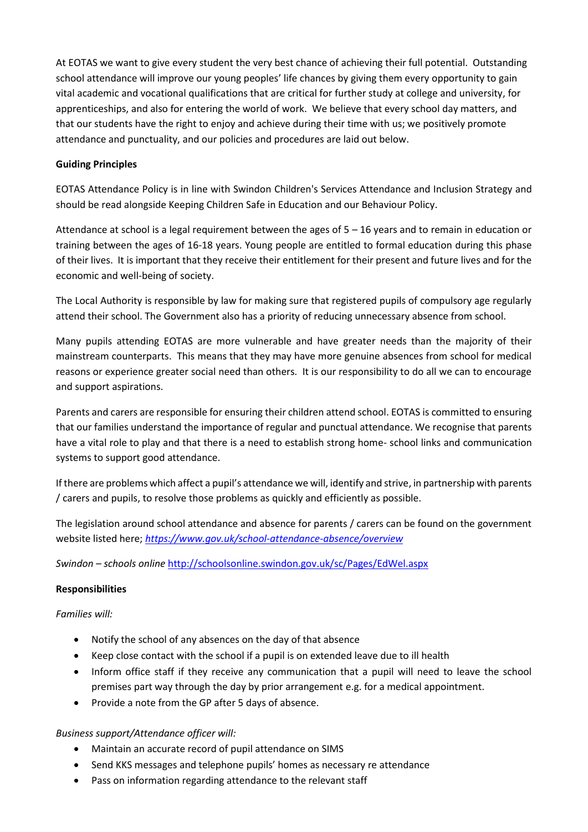At EOTAS we want to give every student the very best chance of achieving their full potential. Outstanding school attendance will improve our young peoples' life chances by giving them every opportunity to gain vital academic and vocational qualifications that are critical for further study at college and university, for apprenticeships, and also for entering the world of work. We believe that every school day matters, and that our students have the right to enjoy and achieve during their time with us; we positively promote attendance and punctuality, and our policies and procedures are laid out below.

### **Guiding Principles**

EOTAS Attendance Policy is in line with Swindon Children's Services Attendance and Inclusion Strategy and should be read alongside Keeping Children Safe in Education and our Behaviour Policy.

Attendance at school is a legal requirement between the ages of 5 – 16 years and to remain in education or training between the ages of 16-18 years. Young people are entitled to formal education during this phase of their lives. It is important that they receive their entitlement for their present and future lives and for the economic and well-being of society.

The Local Authority is responsible by law for making sure that registered pupils of compulsory age regularly attend their school. The Government also has a priority of reducing unnecessary absence from school.

Many pupils attending EOTAS are more vulnerable and have greater needs than the majority of their mainstream counterparts. This means that they may have more genuine absences from school for medical reasons or experience greater social need than others. It is our responsibility to do all we can to encourage and support aspirations.

Parents and carers are responsible for ensuring their children attend school. EOTAS is committed to ensuring that our families understand the importance of regular and punctual attendance. We recognise that parents have a vital role to play and that there is a need to establish strong home- school links and communication systems to support good attendance.

If there are problems which affect a pupil's attendance we will, identify and strive, in partnership with parents / carers and pupils, to resolve those problems as quickly and efficiently as possible.

The legislation around school attendance and absence for parents / carers can be found on the government website listed here; *<https://www.gov.uk/school-attendance-absence/overview>*

*Swindon – schools online* http://schoolsonline.swindon.gov.uk/sc/Pages/EdWel.aspx

### **Responsibilities**

### *Families will:*

- Notify the school of any absences on the day of that absence
- Keep close contact with the school if a pupil is on extended leave due to ill health
- Inform office staff if they receive any communication that a pupil will need to leave the school premises part way through the day by prior arrangement e.g. for a medical appointment.
- Provide a note from the GP after 5 days of absence.

### *Business support/Attendance officer will:*

- Maintain an accurate record of pupil attendance on SIMS
- Send KKS messages and telephone pupils' homes as necessary re attendance
- Pass on information regarding attendance to the relevant staff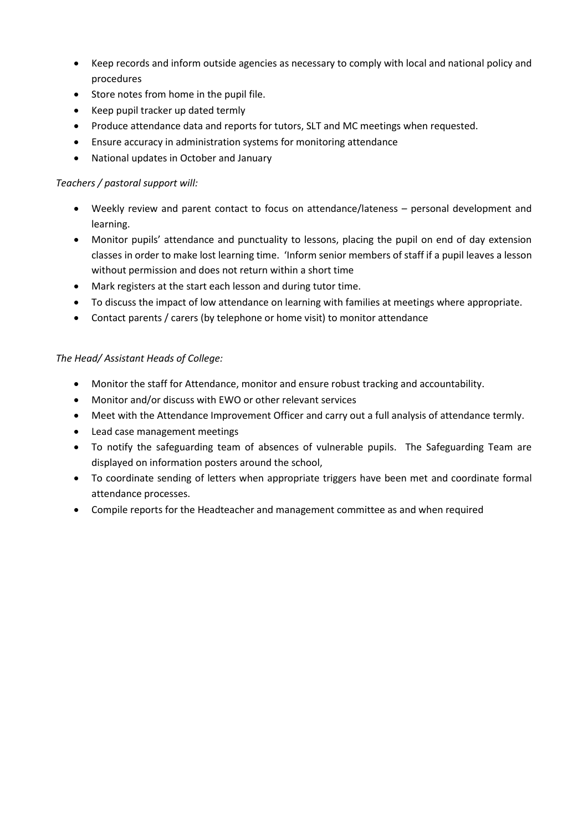- Keep records and inform outside agencies as necessary to comply with local and national policy and procedures
- Store notes from home in the pupil file.
- Keep pupil tracker up dated termly
- Produce attendance data and reports for tutors, SLT and MC meetings when requested.
- Ensure accuracy in administration systems for monitoring attendance
- National updates in October and January

### *Teachers / pastoral support will:*

- Weekly review and parent contact to focus on attendance/lateness personal development and learning.
- Monitor pupils' attendance and punctuality to lessons, placing the pupil on end of day extension classes in order to make lost learning time. 'Inform senior members of staff if a pupil leaves a lesson without permission and does not return within a short time
- Mark registers at the start each lesson and during tutor time.
- To discuss the impact of low attendance on learning with families at meetings where appropriate.
- Contact parents / carers (by telephone or home visit) to monitor attendance

### *The Head/ Assistant Heads of College:*

- Monitor the staff for Attendance, monitor and ensure robust tracking and accountability.
- Monitor and/or discuss with EWO or other relevant services
- Meet with the Attendance Improvement Officer and carry out a full analysis of attendance termly.
- Lead case management meetings
- To notify the safeguarding team of absences of vulnerable pupils. The Safeguarding Team are displayed on information posters around the school,
- To coordinate sending of letters when appropriate triggers have been met and coordinate formal attendance processes.
- Compile reports for the Headteacher and management committee as and when required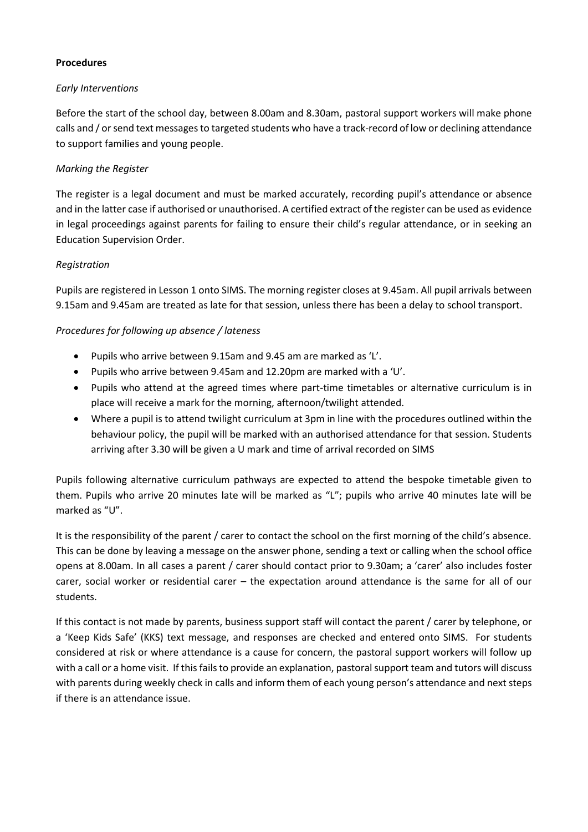#### **Procedures**

#### *Early Interventions*

Before the start of the school day, between 8.00am and 8.30am, pastoral support workers will make phone calls and / or send text messages to targeted students who have a track-record of low or declining attendance to support families and young people.

### *Marking the Register*

The register is a legal document and must be marked accurately, recording pupil's attendance or absence and in the latter case if authorised or unauthorised. A certified extract of the register can be used as evidence in legal proceedings against parents for failing to ensure their child's regular attendance, or in seeking an Education Supervision Order.

#### *Registration*

Pupils are registered in Lesson 1 onto SIMS. The morning register closes at 9.45am. All pupil arrivals between 9.15am and 9.45am are treated as late for that session, unless there has been a delay to school transport.

#### *Procedures for following up absence / lateness*

- Pupils who arrive between 9.15am and 9.45 am are marked as 'L'.
- Pupils who arrive between 9.45am and 12.20pm are marked with a 'U'.
- Pupils who attend at the agreed times where part-time timetables or alternative curriculum is in place will receive a mark for the morning, afternoon/twilight attended.
- Where a pupil is to attend twilight curriculum at 3pm in line with the procedures outlined within the behaviour policy, the pupil will be marked with an authorised attendance for that session. Students arriving after 3.30 will be given a U mark and time of arrival recorded on SIMS

Pupils following alternative curriculum pathways are expected to attend the bespoke timetable given to them. Pupils who arrive 20 minutes late will be marked as "L"; pupils who arrive 40 minutes late will be marked as "U".

It is the responsibility of the parent / carer to contact the school on the first morning of the child's absence. This can be done by leaving a message on the answer phone, sending a text or calling when the school office opens at 8.00am. In all cases a parent / carer should contact prior to 9.30am; a 'carer' also includes foster carer, social worker or residential carer – the expectation around attendance is the same for all of our students.

If this contact is not made by parents, business support staff will contact the parent / carer by telephone, or a 'Keep Kids Safe' (KKS) text message, and responses are checked and entered onto SIMS. For students considered at risk or where attendance is a cause for concern, the pastoral support workers will follow up with a call or a home visit. If this fails to provide an explanation, pastoral support team and tutors will discuss with parents during weekly check in calls and inform them of each young person's attendance and next steps if there is an attendance issue.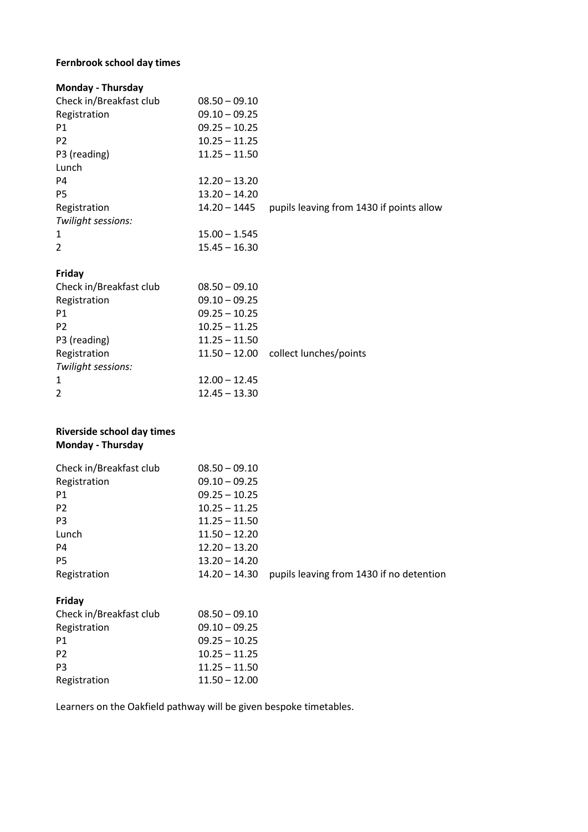# **Fernbrook school day times**

| <b>Monday - Thursday</b> |                 |                                          |
|--------------------------|-----------------|------------------------------------------|
| Check in/Breakfast club  | $08.50 - 09.10$ |                                          |
| Registration             | $09.10 - 09.25$ |                                          |
| P <sub>1</sub>           | $09.25 - 10.25$ |                                          |
| P <sub>2</sub>           | $10.25 - 11.25$ |                                          |
| P3 (reading)             | $11.25 - 11.50$ |                                          |
| Lunch                    |                 |                                          |
| P4                       | $12.20 - 13.20$ |                                          |
| P <sub>5</sub>           | $13.20 - 14.20$ |                                          |
| Registration             | $14.20 - 1445$  | pupils leaving from 1430 if points allow |
| Twilight sessions:       |                 |                                          |
| 1                        | $15.00 - 1.545$ |                                          |
| $\overline{2}$           | $15.45 - 16.30$ |                                          |
|                          |                 |                                          |

#### **Friday**

| Check in/Breakfast club | $08.50 - 09.10$ |                                      |
|-------------------------|-----------------|--------------------------------------|
| Registration            | $09.10 - 09.25$ |                                      |
| P1                      | $09.25 - 10.25$ |                                      |
| P <sub>2</sub>          | $10.25 - 11.25$ |                                      |
| P3 (reading)            | $11.25 - 11.50$ |                                      |
| Registration            |                 | 11.50 - 12.00 collect lunches/points |
| Twilight sessions:      |                 |                                      |
| $\mathbf{1}$            | $12.00 - 12.45$ |                                      |
| 2                       | $12.45 - 13.30$ |                                      |

## **Riverside school day times Monday - Thursday**

| Check in/Breakfast club | $08.50 - 09.10$ |                                          |
|-------------------------|-----------------|------------------------------------------|
| Registration            | $09.10 - 09.25$ |                                          |
| P <sub>1</sub>          | $09.25 - 10.25$ |                                          |
| P <sub>2</sub>          | $10.25 - 11.25$ |                                          |
| P <sub>3</sub>          | $11.25 - 11.50$ |                                          |
| Lunch                   | $11.50 - 12.20$ |                                          |
| P4                      | $12.20 - 13.20$ |                                          |
| <b>P5</b>               | $13.20 - 14.20$ |                                          |
| Registration            | $14.20 - 14.30$ | pupils leaving from 1430 if no detention |
|                         |                 |                                          |

# **Friday**

| Check in/Breakfast club | $08.50 - 09.10$ |
|-------------------------|-----------------|
| Registration            | $09.10 - 09.25$ |
| P1                      | $09.25 - 10.25$ |
| P <sub>2</sub>          | $10.25 - 11.25$ |
| P <sub>3</sub>          | $11.25 - 11.50$ |
| Registration            | $11.50 - 12.00$ |

Learners on the Oakfield pathway will be given bespoke timetables.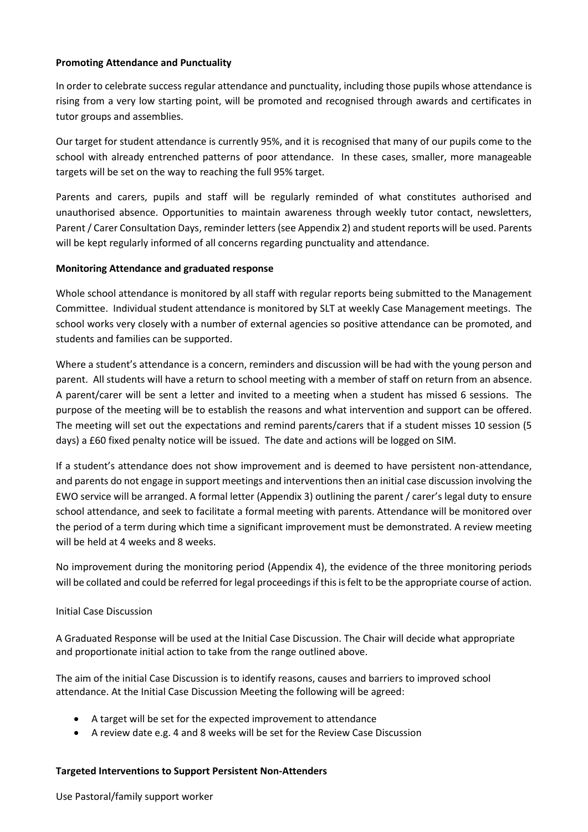#### **Promoting Attendance and Punctuality**

In order to celebrate success regular attendance and punctuality, including those pupils whose attendance is rising from a very low starting point, will be promoted and recognised through awards and certificates in tutor groups and assemblies.

Our target for student attendance is currently 95%, and it is recognised that many of our pupils come to the school with already entrenched patterns of poor attendance. In these cases, smaller, more manageable targets will be set on the way to reaching the full 95% target.

Parents and carers, pupils and staff will be regularly reminded of what constitutes authorised and unauthorised absence. Opportunities to maintain awareness through weekly tutor contact, newsletters, Parent/ Carer Consultation Days, reminder letters (see Appendix 2) and student reports will be used. Parents will be kept regularly informed of all concerns regarding punctuality and attendance.

#### **Monitoring Attendance and graduated response**

Whole school attendance is monitored by all staff with regular reports being submitted to the Management Committee. Individual student attendance is monitored by SLT at weekly Case Management meetings. The school works very closely with a number of external agencies so positive attendance can be promoted, and students and families can be supported.

Where a student's attendance is a concern, reminders and discussion will be had with the young person and parent. All students will have a return to school meeting with a member of staff on return from an absence. A parent/carer will be sent a letter and invited to a meeting when a student has missed 6 sessions. The purpose of the meeting will be to establish the reasons and what intervention and support can be offered. The meeting will set out the expectations and remind parents/carers that if a student misses 10 session (5 days) a £60 fixed penalty notice will be issued. The date and actions will be logged on SIM.

If a student's attendance does not show improvement and is deemed to have persistent non-attendance, and parents do not engage in support meetings and interventions then an initial case discussion involving the EWO service will be arranged. A formal letter (Appendix 3) outlining the parent / carer's legal duty to ensure school attendance, and seek to facilitate a formal meeting with parents. Attendance will be monitored over the period of a term during which time a significant improvement must be demonstrated. A review meeting will be held at 4 weeks and 8 weeks.

No improvement during the monitoring period (Appendix 4), the evidence of the three monitoring periods will be collated and could be referred for legal proceedings if this is felt to be the appropriate course of action.

#### Initial Case Discussion

A Graduated Response will be used at the Initial Case Discussion. The Chair will decide what appropriate and proportionate initial action to take from the range outlined above.

The aim of the initial Case Discussion is to identify reasons, causes and barriers to improved school attendance. At the Initial Case Discussion Meeting the following will be agreed:

- A target will be set for the expected improvement to attendance
- A review date e.g. 4 and 8 weeks will be set for the Review Case Discussion

#### **Targeted Interventions to Support Persistent Non-Attenders**

Use Pastoral/family support worker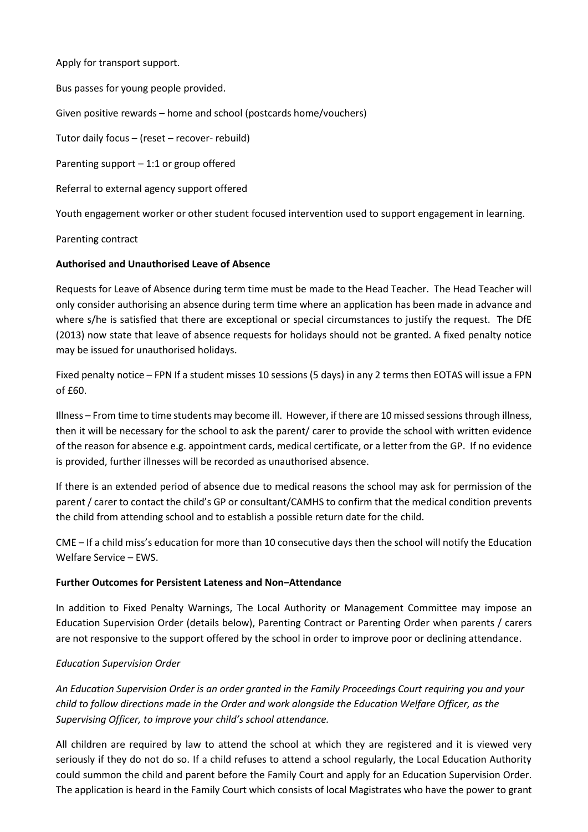Apply for transport support.

Bus passes for young people provided.

Given positive rewards – home and school (postcards home/vouchers)

Tutor daily focus – (reset – recover- rebuild)

Parenting support – 1:1 or group offered

Referral to external agency support offered

Youth engagement worker or other student focused intervention used to support engagement in learning.

#### Parenting contract

#### **Authorised and Unauthorised Leave of Absence**

Requests for Leave of Absence during term time must be made to the Head Teacher. The Head Teacher will only consider authorising an absence during term time where an application has been made in advance and where s/he is satisfied that there are exceptional or special circumstances to justify the request. The DfE (2013) now state that leave of absence requests for holidays should not be granted. A fixed penalty notice may be issued for unauthorised holidays.

Fixed penalty notice – FPN If a student misses 10 sessions (5 days) in any 2 terms then EOTAS will issue a FPN of £60.

Illness – From time to time students may become ill. However, if there are 10 missed sessions through illness, then it will be necessary for the school to ask the parent/ carer to provide the school with written evidence of the reason for absence e.g. appointment cards, medical certificate, or a letter from the GP. If no evidence is provided, further illnesses will be recorded as unauthorised absence.

If there is an extended period of absence due to medical reasons the school may ask for permission of the parent / carer to contact the child's GP or consultant/CAMHS to confirm that the medical condition prevents the child from attending school and to establish a possible return date for the child.

CME – If a child miss's education for more than 10 consecutive days then the school will notify the Education Welfare Service – EWS.

#### **Further Outcomes for Persistent Lateness and Non–Attendance**

In addition to Fixed Penalty Warnings, The Local Authority or Management Committee may impose an Education Supervision Order (details below), Parenting Contract or Parenting Order when parents / carers are not responsive to the support offered by the school in order to improve poor or declining attendance.

#### *Education Supervision Order*

*An Education Supervision Order is an order granted in the Family Proceedings Court requiring you and your child to follow directions made in the Order and work alongside the Education Welfare Officer, as the Supervising Officer, to improve your child's school attendance.*

All children are required by law to attend the school at which they are registered and it is viewed very seriously if they do not do so. If a child refuses to attend a school regularly, the Local Education Authority could summon the child and parent before the Family Court and apply for an Education Supervision Order. The application is heard in the Family Court which consists of local Magistrates who have the power to grant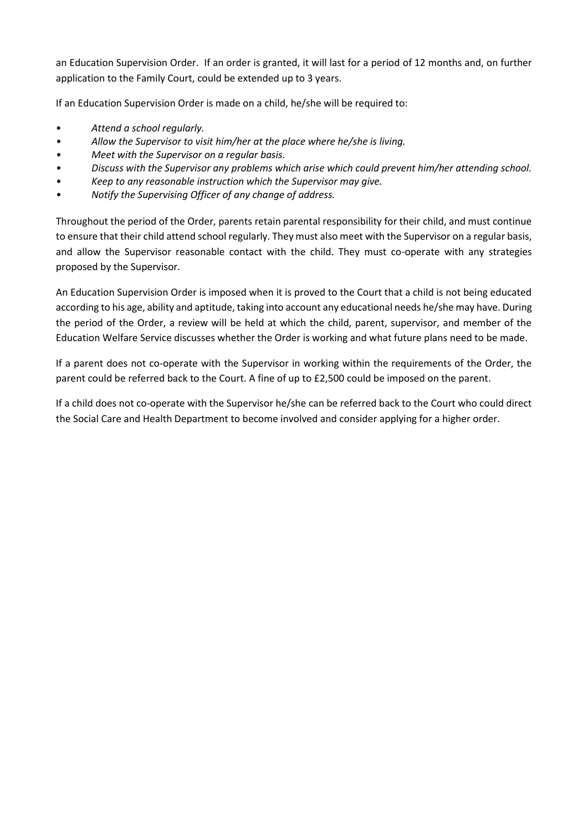an Education Supervision Order. If an order is granted, it will last for a period of 12 months and, on further application to the Family Court, could be extended up to 3 years.

If an Education Supervision Order is made on a child, he/she will be required to:

- *Attend a school regularly.*
- *• Allow the Supervisor to visit him/her at the place where he/she is living.*
- *• Meet with the Supervisor on a regular basis.*
- *• Discuss with the Supervisor any problems which arise which could prevent him/her attending school.*
- *• Keep to any reasonable instruction which the Supervisor may give.*
- *• Notify the Supervising Officer of any change of address.*

Throughout the period of the Order, parents retain parental responsibility for their child, and must continue to ensure that their child attend school regularly. They must also meet with the Supervisor on a regular basis, and allow the Supervisor reasonable contact with the child. They must co-operate with any strategies proposed by the Supervisor.

An Education Supervision Order is imposed when it is proved to the Court that a child is not being educated according to his age, ability and aptitude, taking into account any educational needs he/she may have. During the period of the Order, a review will be held at which the child, parent, supervisor, and member of the Education Welfare Service discusses whether the Order is working and what future plans need to be made.

If a parent does not co-operate with the Supervisor in working within the requirements of the Order, the parent could be referred back to the Court. A fine of up to £2,500 could be imposed on the parent.

If a child does not co-operate with the Supervisor he/she can be referred back to the Court who could direct the Social Care and Health Department to become involved and consider applying for a higher order.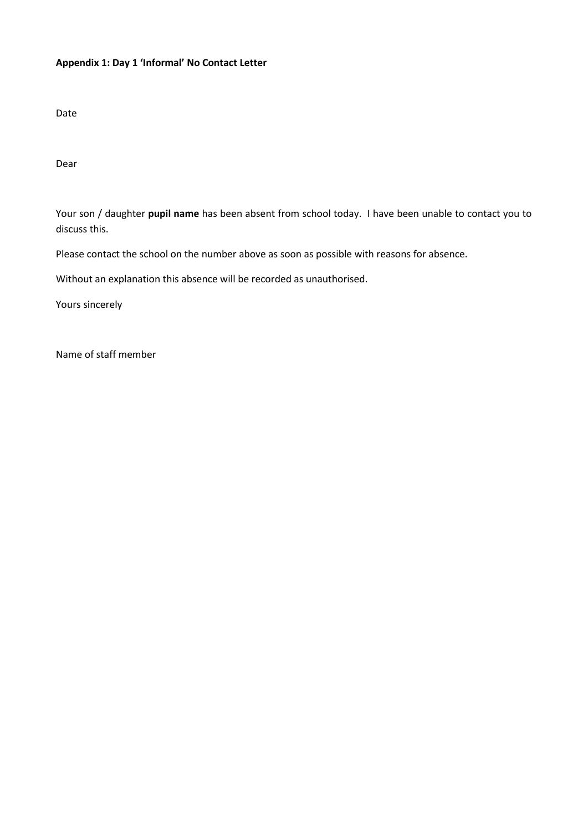### **Appendix 1: Day 1 'Informal' No Contact Letter**

Date

Dear

Your son / daughter **pupil name** has been absent from school today. I have been unable to contact you to discuss this.

Please contact the school on the number above as soon as possible with reasons for absence.

Without an explanation this absence will be recorded as unauthorised.

Yours sincerely

Name of staff member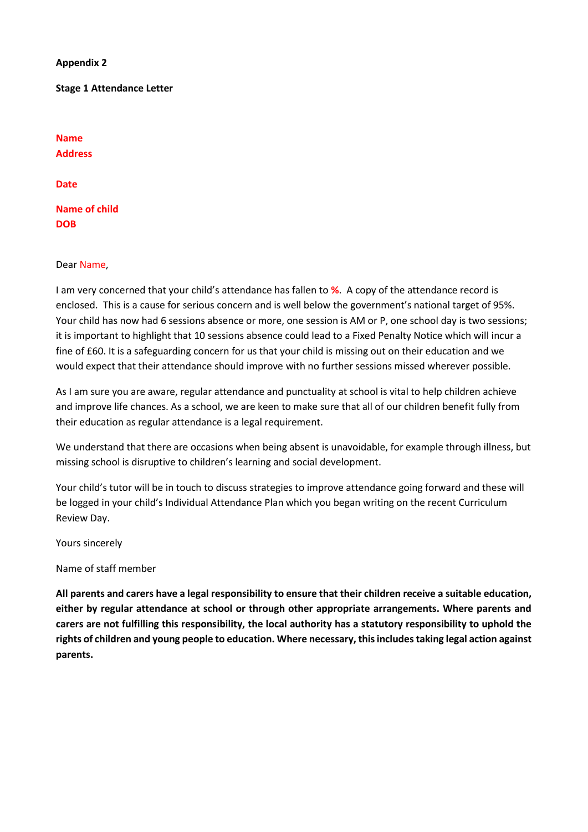**Appendix 2**

**Stage 1 Attendance Letter**

**Name Address**

**Date**

**Name of child DOB**

#### Dear Name,

I am very concerned that your child's attendance has fallen to **%**. A copy of the attendance record is enclosed. This is a cause for serious concern and is well below the government's national target of 95%. Your child has now had 6 sessions absence or more, one session is AM or P, one school day is two sessions; it is important to highlight that 10 sessions absence could lead to a Fixed Penalty Notice which will incur a fine of £60. It is a safeguarding concern for us that your child is missing out on their education and we would expect that their attendance should improve with no further sessions missed wherever possible.

As I am sure you are aware, regular attendance and punctuality at school is vital to help children achieve and improve life chances. As a school, we are keen to make sure that all of our children benefit fully from their education as regular attendance is a legal requirement.

We understand that there are occasions when being absent is unavoidable, for example through illness, but missing school is disruptive to children's learning and social development.

Your child's tutor will be in touch to discuss strategies to improve attendance going forward and these will be logged in your child's Individual Attendance Plan which you began writing on the recent Curriculum Review Day.

Yours sincerely

Name of staff member

**All parents and carers have a legal responsibility to ensure that their children receive a suitable education, either by regular attendance at school or through other appropriate arrangements. Where parents and carers are not fulfilling this responsibility, the local authority has a statutory responsibility to uphold the rights of children and young people to education. Where necessary, this includes taking legal action against parents.**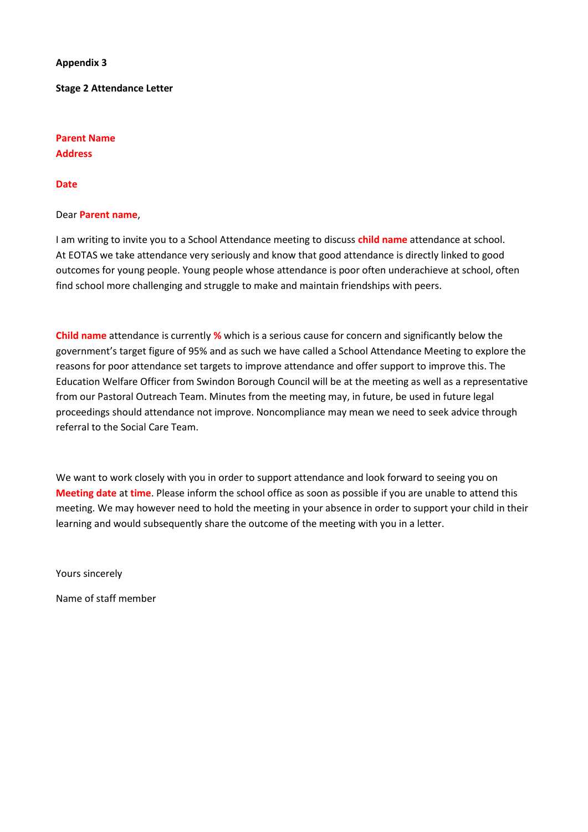#### **Appendix 3**

**Stage 2 Attendance Letter**

# **Parent Name Address**

#### **Date**

#### Dear **Parent name**,

I am writing to invite you to a School Attendance meeting to discuss **child name** attendance at school. At EOTAS we take attendance very seriously and know that good attendance is directly linked to good outcomes for young people. Young people whose attendance is poor often underachieve at school, often find school more challenging and struggle to make and maintain friendships with peers.

**Child name** attendance is currently **%** which is a serious cause for concern and significantly below the government's target figure of 95% and as such we have called a School Attendance Meeting to explore the reasons for poor attendance set targets to improve attendance and offer support to improve this. The Education Welfare Officer from Swindon Borough Council will be at the meeting as well as a representative from our Pastoral Outreach Team. Minutes from the meeting may, in future, be used in future legal proceedings should attendance not improve. Noncompliance may mean we need to seek advice through referral to the Social Care Team.

We want to work closely with you in order to support attendance and look forward to seeing you on **Meeting date** at **time**. Please inform the school office as soon as possible if you are unable to attend this meeting. We may however need to hold the meeting in your absence in order to support your child in their learning and would subsequently share the outcome of the meeting with you in a letter.

Yours sincerely

Name of staff member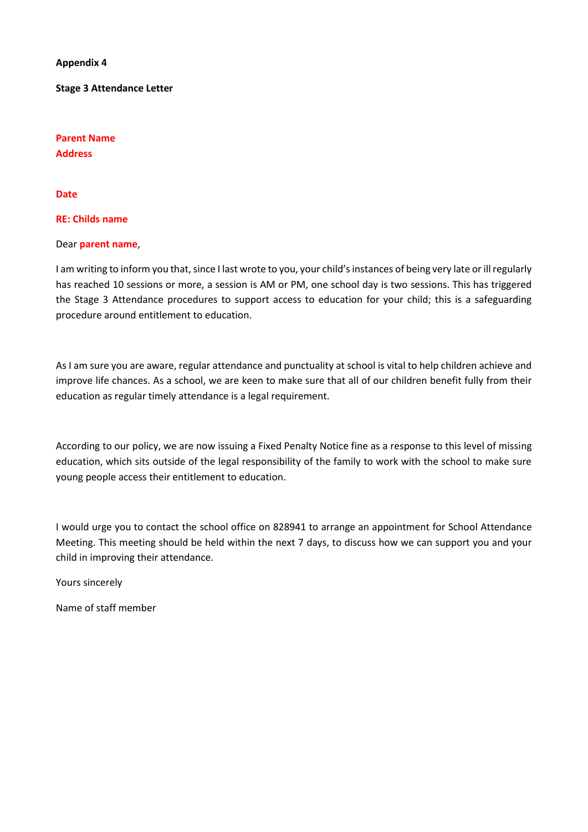**Appendix 4**

**Stage 3 Attendance Letter**

**Parent Name Address**

#### **Date**

#### **RE: Childs name**

#### Dear **parent name**,

I am writing to inform you that, since I last wrote to you, your child's instances of being very late or ill regularly has reached 10 sessions or more, a session is AM or PM, one school day is two sessions. This has triggered the Stage 3 Attendance procedures to support access to education for your child; this is a safeguarding procedure around entitlement to education.

As I am sure you are aware, regular attendance and punctuality at school is vital to help children achieve and improve life chances. As a school, we are keen to make sure that all of our children benefit fully from their education as regular timely attendance is a legal requirement.

According to our policy, we are now issuing a Fixed Penalty Notice fine as a response to this level of missing education, which sits outside of the legal responsibility of the family to work with the school to make sure young people access their entitlement to education.

I would urge you to contact the school office on 828941 to arrange an appointment for School Attendance Meeting. This meeting should be held within the next 7 days, to discuss how we can support you and your child in improving their attendance.

Yours sincerely

Name of staff member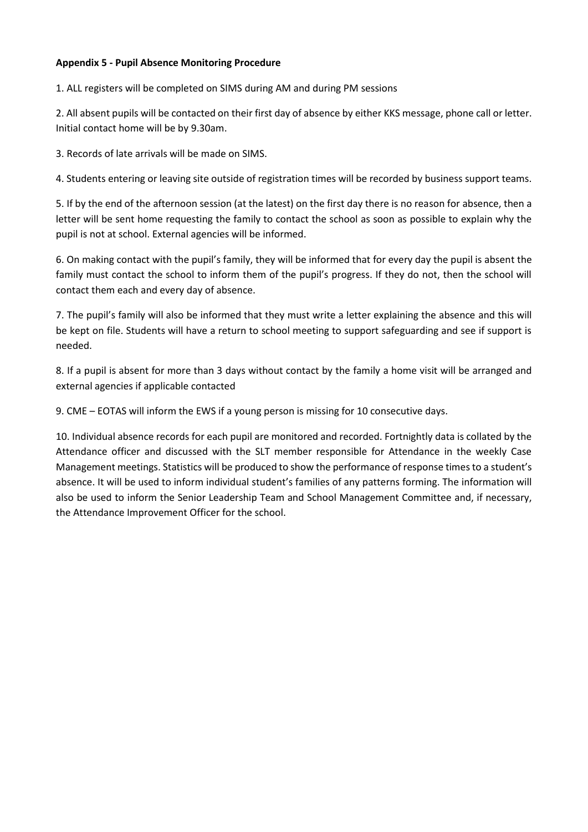#### **Appendix 5 - Pupil Absence Monitoring Procedure**

1. ALL registers will be completed on SIMS during AM and during PM sessions

2. All absent pupils will be contacted on their first day of absence by either KKS message, phone call or letter. Initial contact home will be by 9.30am.

3. Records of late arrivals will be made on SIMS.

4. Students entering or leaving site outside of registration times will be recorded by business support teams.

5. If by the end of the afternoon session (at the latest) on the first day there is no reason for absence, then a letter will be sent home requesting the family to contact the school as soon as possible to explain why the pupil is not at school. External agencies will be informed.

6. On making contact with the pupil's family, they will be informed that for every day the pupil is absent the family must contact the school to inform them of the pupil's progress. If they do not, then the school will contact them each and every day of absence.

7. The pupil's family will also be informed that they must write a letter explaining the absence and this will be kept on file. Students will have a return to school meeting to support safeguarding and see if support is needed.

8. If a pupil is absent for more than 3 days without contact by the family a home visit will be arranged and external agencies if applicable contacted

9. CME – EOTAS will inform the EWS if a young person is missing for 10 consecutive days.

10. Individual absence records for each pupil are monitored and recorded. Fortnightly data is collated by the Attendance officer and discussed with the SLT member responsible for Attendance in the weekly Case Management meetings. Statistics will be produced to show the performance of response times to a student's absence. It will be used to inform individual student's families of any patterns forming. The information will also be used to inform the Senior Leadership Team and School Management Committee and, if necessary, the Attendance Improvement Officer for the school.